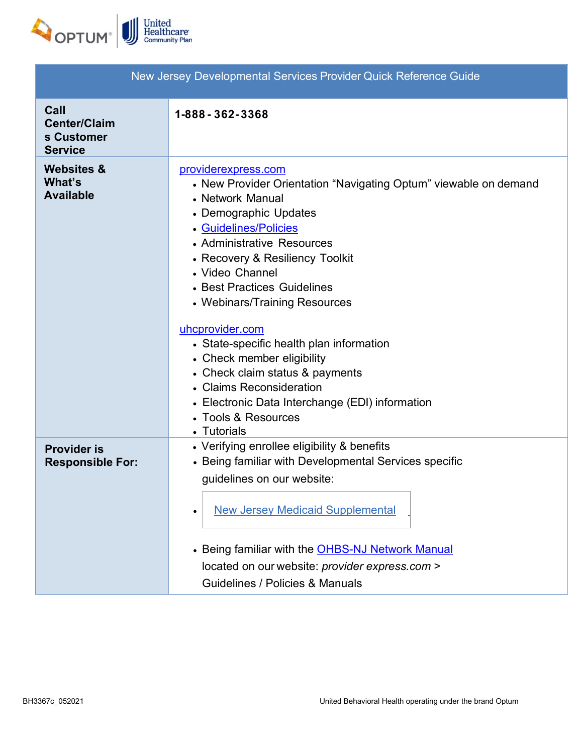

| New Jersey Developmental Services Provider Quick Reference Guide |                                                                                                                                                                                                                                                                                                                                                                                                                                                                                                                                                                        |  |
|------------------------------------------------------------------|------------------------------------------------------------------------------------------------------------------------------------------------------------------------------------------------------------------------------------------------------------------------------------------------------------------------------------------------------------------------------------------------------------------------------------------------------------------------------------------------------------------------------------------------------------------------|--|
| Call<br><b>Center/Claim</b><br>s Customer<br><b>Service</b>      | 1-888 - 362 - 3368                                                                                                                                                                                                                                                                                                                                                                                                                                                                                                                                                     |  |
| <b>Websites &amp;</b><br>What's<br><b>Available</b>              | providerexpress.com<br>• New Provider Orientation "Navigating Optum" viewable on demand<br>• Network Manual<br>• Demographic Updates<br>• Guidelines/Policies<br>• Administrative Resources<br>• Recovery & Resiliency Toolkit<br>• Video Channel<br>• Best Practices Guidelines<br>• Webinars/Training Resources<br>uhcprovider.com<br>• State-specific health plan information<br>• Check member eligibility<br>• Check claim status & payments<br>• Claims Reconsideration<br>• Electronic Data Interchange (EDI) information<br>• Tools & Resources<br>• Tutorials |  |
| <b>Provider is</b><br><b>Responsible For:</b>                    | • Verifying enrollee eligibility & benefits<br>• Being familiar with Developmental Services specific<br>guidelines on our website:<br><b>New Jersey Medicaid Supplemental</b><br>٠<br>• Being familiar with the <b>OHBS-NJ Network Manual</b><br>located on our website: provider express.com ><br>Guidelines / Policies & Manuals                                                                                                                                                                                                                                     |  |